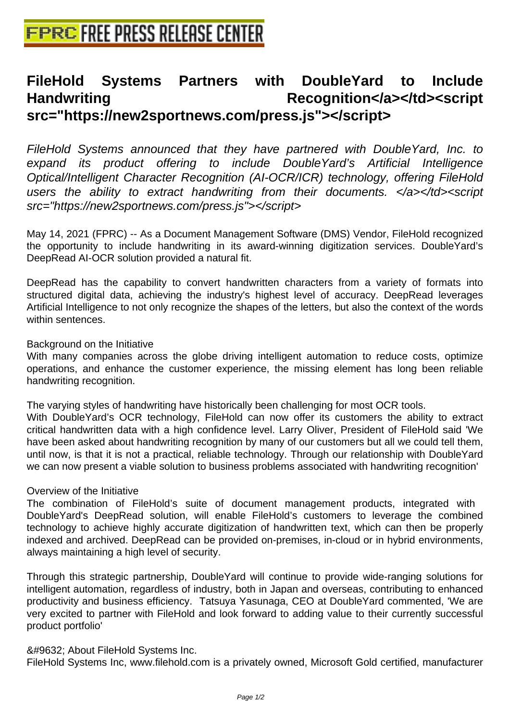# **[FileHold Systems Partners w](http://www.free-press-release-center.info)ith DoubleYard to Include** Handwriting Recognition</a></td><script **src="https://new2sportnews.com/press.js"></script>**

FileHold Systems announced that they have partnered with DoubleYard, Inc. to expand its product offering to include DoubleYard's Artificial Intelligence Optical/Intelligent Character Recognition (AI-OCR/ICR) technology, offering FileHold users the ability to extract handwriting from their documents. </a>></td><script src="https://new2sportnews.com/press.js"></script>

May 14, 2021 (FPRC) -- As a Document Management Software (DMS) Vendor, FileHold recognized the opportunity to include handwriting in its award-winning digitization services. DoubleYard's DeepRead AI-OCR solution provided a natural fit.

DeepRead has the capability to convert handwritten characters from a variety of formats into structured digital data, achieving the industry's highest level of accuracy. DeepRead leverages Artificial Intelligence to not only recognize the shapes of the letters, but also the context of the words within sentences.

#### Background on the Initiative

With many companies across the globe driving intelligent automation to reduce costs, optimize operations, and enhance the customer experience, the missing element has long been reliable handwriting recognition.

The varying styles of handwriting have historically been challenging for most OCR tools.

With DoubleYard's OCR technology, FileHold can now offer its customers the ability to extract critical handwritten data with a high confidence level. Larry Oliver, President of FileHold said 'We have been asked about handwriting recognition by many of our customers but all we could tell them, until now, is that it is not a practical, reliable technology. Through our relationship with DoubleYard we can now present a viable solution to business problems associated with handwriting recognition'

#### Overview of the Initiative

The combination of FileHold's suite of document management products, integrated with DoubleYard's DeepRead solution, will enable FileHold's customers to leverage the combined technology to achieve highly accurate digitization of handwritten text, which can then be properly indexed and archived. DeepRead can be provided on-premises, in-cloud or in hybrid environments, always maintaining a high level of security.

Through this strategic partnership, DoubleYard will continue to provide wide-ranging solutions for intelligent automation, regardless of industry, both in Japan and overseas, contributing to enhanced productivity and business efficiency. Tatsuya Yasunaga, CEO at DoubleYard commented, 'We are very excited to partner with FileHold and look forward to adding value to their currently successful product portfolio'

# ■ About FileHold Systems Inc.

FileHold Systems Inc, www.filehold.com is a privately owned, Microsoft Gold certified, manufacturer